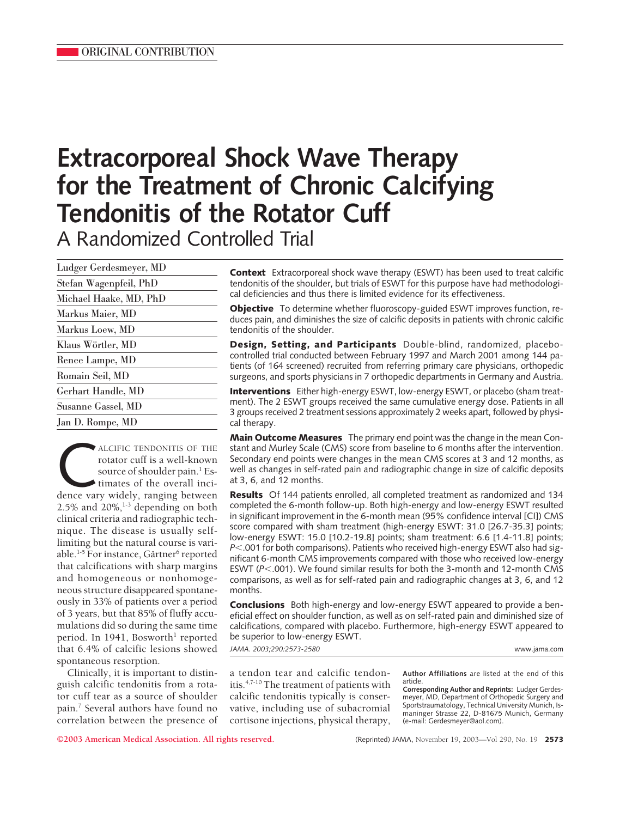# **Extracorporeal Shock Wave Therapy for the Treatment of Chronic Calcifying Tendonitis of the Rotator Cuff** A Randomized Controlled Trial

| Ludger Gerdesmeyer, MD |
|------------------------|
| Stefan Wagenpfeil, PhD |
| Michael Haake, MD, PhD |
| Markus Maier, MD       |
| Markus Loew, MD        |
| Klaus Wörtler, MD      |
| Renee Lampe, MD        |
| Romain Seil, MD        |
| Gerhart Handle, MD     |
| Susanne Gassel, MD     |
| Jan D. Rompe, MD       |

ALCIFIC TENDONITIS OF THE rotator cuff is a well-known source of shoulder pain.<sup>1</sup> Estimates of the overall incidence vary widely, ranging between rotator cuff is a well-known source of shoulder pain.<sup>1</sup> Estimates of the overall inci- $2.5\%$  and  $20\%,$ <sup>1-3</sup> depending on both clinical criteria and radiographic technique. The disease is usually selflimiting but the natural course is variable.<sup>1-5</sup> For instance, Gärtner<sup>6</sup> reported that calcifications with sharp margins and homogeneous or nonhomogeneous structure disappeared spontaneously in 33% of patients over a period of 3 years, but that 85% of fluffy accumulations did so during the same time period. In 1941, Bosworth<sup>1</sup> reported that 6.4% of calcific lesions showed spontaneous resorption.

Clinically, it is important to distinguish calcific tendonitis from a rotator cuff tear as a source of shoulder pain.7 Several authors have found no correlation between the presence of **Context** Extracorporeal shock wave therapy (ESWT) has been used to treat calcific tendonitis of the shoulder, but trials of ESWT for this purpose have had methodological deficiencies and thus there is limited evidence for its effectiveness.

**Objective** To determine whether fluoroscopy-guided ESWT improves function, reduces pain, and diminishes the size of calcific deposits in patients with chronic calcific tendonitis of the shoulder.

**Design, Setting, and Participants** Double-blind, randomized, placebocontrolled trial conducted between February 1997 and March 2001 among 144 patients (of 164 screened) recruited from referring primary care physicians, orthopedic surgeons, and sports physicians in 7 orthopedic departments in Germany and Austria.

**Interventions** Either high-energy ESWT, low-energy ESWT, or placebo (sham treatment). The 2 ESWT groups received the same cumulative energy dose. Patients in all 3 groups received 2 treatment sessions approximately 2 weeks apart, followed by physical therapy.

**Main Outcome Measures** The primary end point was the change in the mean Constant and Murley Scale (CMS) score from baseline to 6 months after the intervention. Secondary end points were changes in the mean CMS scores at 3 and 12 months, as well as changes in self-rated pain and radiographic change in size of calcific deposits at 3, 6, and 12 months.

**Results** Of 144 patients enrolled, all completed treatment as randomized and 134 completed the 6-month follow-up. Both high-energy and low-energy ESWT resulted in significant improvement in the 6-month mean (95% confidence interval [CI]) CMS score compared with sham treatment (high-energy ESWT: 31.0 [26.7-35.3] points; low-energy ESWT: 15.0 [10.2-19.8] points; sham treatment: 6.6 [1.4-11.8] points; *P* < .001 for both comparisons). Patients who received high-energy ESWT also had significant 6-month CMS improvements compared with those who received low-energy ESWT (*P*.001). We found similar results for both the 3-month and 12-month CMS comparisons, as well as for self-rated pain and radiographic changes at 3, 6, and 12 months.

**Conclusions** Both high-energy and low-energy ESWT appeared to provide a beneficial effect on shoulder function, as well as on self-rated pain and diminished size of calcifications, compared with placebo. Furthermore, high-energy ESWT appeared to be superior to low-energy ESWT.

*JAMA. 2003;290:2573-2580* www.jama.com

a tendon tear and calcific tendonitis.4,7-10 The treatment of patients with calcific tendonitis typically is conservative, including use of subacromial cortisone injections, physical therapy,

**Author Affiliations** are listed at the end of this article.

**Corresponding Author and Reprints:** Ludger Gerdesmeyer, MD, Department of Orthopedic Surgery and Sportstraumatology, Technical University Munich, Ismaninger Strasse 22, D-81675 Munich, Germany (e-mail: Gerdesmeyer@aol.com).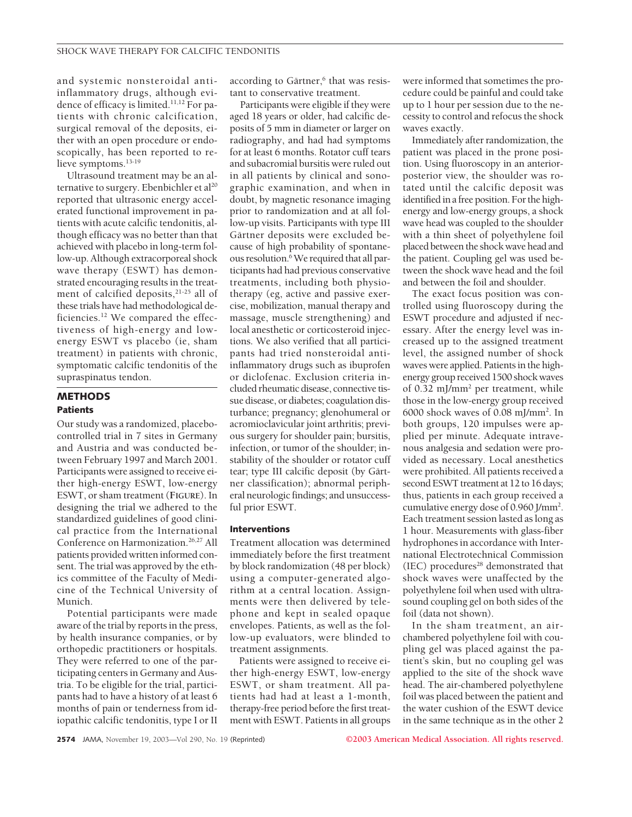and systemic nonsteroidal antiinflammatory drugs, although evidence of efficacy is limited.<sup>11,12</sup> For patients with chronic calcification, surgical removal of the deposits, either with an open procedure or endoscopically, has been reported to relieve symptoms.<sup>13-19</sup>

Ultrasound treatment may be an alternative to surgery. Ebenbichler et al<sup>20</sup> reported that ultrasonic energy accelerated functional improvement in patients with acute calcific tendonitis, although efficacy was no better than that achieved with placebo in long-term follow-up. Although extracorporeal shock wave therapy (ESWT) has demonstrated encouraging results in the treatment of calcified deposits,<sup>21-25</sup> all of these trials have had methodological deficiencies.12 We compared the effectiveness of high-energy and lowenergy ESWT vs placebo (ie, sham treatment) in patients with chronic, symptomatic calcific tendonitis of the supraspinatus tendon.

## **METHODS**

## **Patients**

Our study was a randomized, placebocontrolled trial in 7 sites in Germany and Austria and was conducted between February 1997 and March 2001. Participants were assigned to receive either high-energy ESWT, low-energy ESWT, or sham treatment (**FIGURE**). In designing the trial we adhered to the standardized guidelines of good clinical practice from the International Conference on Harmonization.<sup>26,27</sup> All patients provided written informed consent. The trial was approved by the ethics committee of the Faculty of Medicine of the Technical University of Munich.

Potential participants were made aware of the trial by reports in the press, by health insurance companies, or by orthopedic practitioners or hospitals. They were referred to one of the participating centers in Germany and Austria. To be eligible for the trial, participants had to have a history of at least 6 months of pain or tenderness from idiopathic calcific tendonitis, type I or II

according to Gärtner,<sup>6</sup> that was resistant to conservative treatment.

Participants were eligible if they were aged 18 years or older, had calcific deposits of 5 mm in diameter or larger on radiography, and had had symptoms for at least 6 months. Rotator cuff tears and subacromial bursitis were ruled out in all patients by clinical and sonographic examination, and when in doubt, by magnetic resonance imaging prior to randomization and at all follow-up visits. Participants with type III Gärtner deposits were excluded because of high probability of spontaneous resolution.<sup>6</sup> We required that all participants had had previous conservative treatments, including both physiotherapy (eg, active and passive exercise, mobilization, manual therapy and massage, muscle strengthening) and local anesthetic or corticosteroid injections. We also verified that all participants had tried nonsteroidal antiinflammatory drugs such as ibuprofen or diclofenac. Exclusion criteria included rheumatic disease, connective tissue disease, or diabetes; coagulation disturbance; pregnancy; glenohumeral or acromioclavicular joint arthritis; previous surgery for shoulder pain; bursitis, infection, or tumor of the shoulder; instability of the shoulder or rotator cuff tear; type III calcific deposit (by Gärtner classification); abnormal peripheral neurologic findings; and unsuccessful prior ESWT.

## **Interventions**

Treatment allocation was determined immediately before the first treatment by block randomization (48 per block) using a computer-generated algorithm at a central location. Assignments were then delivered by telephone and kept in sealed opaque envelopes. Patients, as well as the follow-up evaluators, were blinded to treatment assignments.

Patients were assigned to receive either high-energy ESWT, low-energy ESWT, or sham treatment. All patients had had at least a 1-month, therapy-free period before the first treatment with ESWT. Patients in all groups

were informed that sometimes the procedure could be painful and could take up to 1 hour per session due to the necessity to control and refocus the shock waves exactly.

Immediately after randomization, the patient was placed in the prone position. Using fluoroscopy in an anteriorposterior view, the shoulder was rotated until the calcific deposit was identified in a free position. For the highenergy and low-energy groups, a shock wave head was coupled to the shoulder with a thin sheet of polyethylene foil placed between the shock wave head and the patient. Coupling gel was used between the shock wave head and the foil and between the foil and shoulder.

The exact focus position was controlled using fluoroscopy during the ESWT procedure and adjusted if necessary. After the energy level was increased up to the assigned treatment level, the assigned number of shock waves were applied. Patients in the highenergy group received 1500 shock waves of 0.32 mJ/mm2 per treatment, while those in the low-energy group received 6000 shock waves of 0.08 mJ/mm2 . In both groups, 120 impulses were applied per minute. Adequate intravenous analgesia and sedation were provided as necessary. Local anesthetics were prohibited. All patients received a second ESWT treatment at 12 to 16 days; thus, patients in each group received a cumulative energy dose of 0.960 J/mm2 . Each treatment session lasted as long as 1 hour. Measurements with glass-fiber hydrophones in accordance with International Electrotechnical Commission (IEC) procedures $28$  demonstrated that shock waves were unaffected by the polyethylene foil when used with ultrasound coupling gel on both sides of the foil (data not shown).

In the sham treatment, an airchambered polyethylene foil with coupling gel was placed against the patient's skin, but no coupling gel was applied to the site of the shock wave head. The air-chambered polyethylene foil was placed between the patient and the water cushion of the ESWT device in the same technique as in the other 2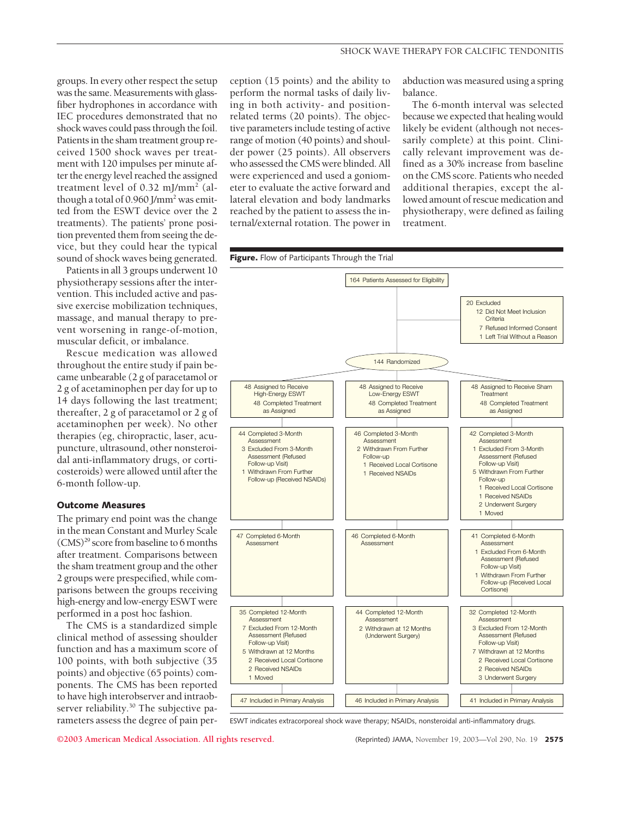groups. In every other respect the setup was the same. Measurements with glassfiber hydrophones in accordance with IEC procedures demonstrated that no shock waves could pass through the foil. Patients in the sham treatment group received 1500 shock waves per treatment with 120 impulses per minute after the energy level reached the assigned treatment level of 0.32 mJ/mm2 (although a total of 0.960 J/mm2 was emitted from the ESWT device over the 2 treatments). The patients' prone position prevented them from seeing the device, but they could hear the typical sound of shock waves being generated.

Patients in all 3 groups underwent 10 physiotherapy sessions after the intervention. This included active and passive exercise mobilization techniques, massage, and manual therapy to prevent worsening in range-of-motion, muscular deficit, or imbalance.

Rescue medication was allowed throughout the entire study if pain became unbearable (2 g of paracetamol or 2 g of acetaminophen per day for up to 14 days following the last treatment; thereafter, 2 g of paracetamol or 2 g of acetaminophen per week). No other therapies (eg, chiropractic, laser, acupuncture, ultrasound, other nonsteroidal anti-inflammatory drugs, or corticosteroids) were allowed until after the 6-month follow-up.

## **Outcome Measures**

The primary end point was the change in the mean Constant and Murley Scale (CMS)29 score from baseline to 6 months after treatment. Comparisons between the sham treatment group and the other 2 groups were prespecified, while comparisons between the groups receiving high-energy and low-energy ESWT were performed in a post hoc fashion.

The CMS is a standardized simple clinical method of assessing shoulder function and has a maximum score of 100 points, with both subjective (35 points) and objective (65 points) components. The CMS has been reported to have high interobserver and intraobserver reliability.<sup>30</sup> The subjective parameters assess the degree of pain perception (15 points) and the ability to perform the normal tasks of daily living in both activity- and positionrelated terms (20 points). The objective parameters include testing of active range of motion (40 points) and shoulder power (25 points). All observers who assessed the CMS were blinded. All were experienced and used a goniometer to evaluate the active forward and lateral elevation and body landmarks reached by the patient to assess the internal/external rotation. The power in

abduction was measured using a spring balance.

The 6-month interval was selected because we expected that healing would likely be evident (although not necessarily complete) at this point. Clinically relevant improvement was defined as a 30% increase from baseline on the CMS score. Patients who needed additional therapies, except the allowed amount of rescue medication and physiotherapy, were defined as failing treatment.



ESWT indicates extracorporeal shock wave therapy; NSAIDs, nonsteroidal anti-inflammatory drugs.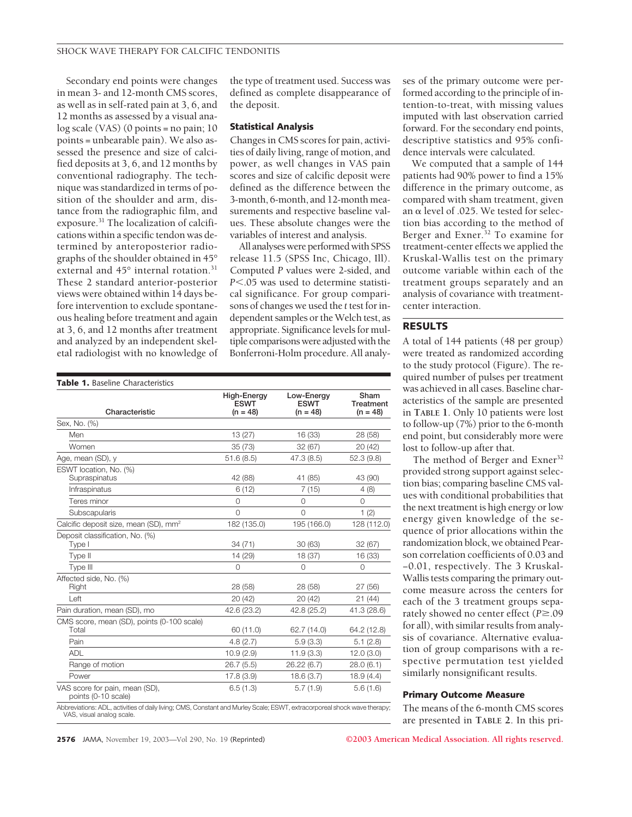Secondary end points were changes in mean 3- and 12-month CMS scores, as well as in self-rated pain at 3, 6, and 12 months as assessed by a visual analog scale (VAS) (0 points = no pain; 10 points = unbearable pain). We also assessed the presence and size of calcified deposits at 3, 6, and 12 months by conventional radiography. The technique was standardized in terms of position of the shoulder and arm, distance from the radiographic film, and exposure.31 The localization of calcifications within a specific tendon was determined by anteroposterior radiographs of the shoulder obtained in 45° external and 45° internal rotation.<sup>31</sup> These 2 standard anterior-posterior views were obtained within 14 days before intervention to exclude spontaneous healing before treatment and again at 3, 6, and 12 months after treatment and analyzed by an independent skeletal radiologist with no knowledge of the type of treatment used. Success was defined as complete disappearance of the deposit.

#### **Statistical Analysis**

Changes in CMS scores for pain, activities of daily living, range of motion, and power, as well changes in VAS pain scores and size of calcific deposit were defined as the difference between the 3-month, 6-month, and 12-month measurements and respective baseline values. These absolute changes were the variables of interest and analysis.

All analyses were performed with SPSS release 11.5 (SPSS Inc, Chicago, Ill). Computed *P* values were 2-sided, and *P*.05 was used to determine statistical significance. For group comparisons of changes we used the *t* test for independent samples or the Welch test, as appropriate. Significance levels for multiple comparisons were adjusted with the Bonferroni-Holm procedure. All analy-

|                                                       | High-Energy<br><b>ESWT</b> | Low-Energy<br><b>ESWT</b> | Sham<br>Treatment |
|-------------------------------------------------------|----------------------------|---------------------------|-------------------|
| Characteristic                                        | $(n = 48)$                 | $(n = 48)$                | $(n = 48)$        |
| Sex, No. (%)                                          |                            |                           |                   |
| Men                                                   | 13 (27)                    | 16 (33)                   | 28 (58)           |
| Women                                                 | 35(73)                     | 32 (67)                   | 20 (42)           |
| Age, mean (SD), y                                     | 51.6(8.5)                  | 47.3 (8.5)                | 52.3(9.8)         |
| ESWT location, No. (%)<br>Supraspinatus               | 42 (88)                    | 41 (85)                   | 43 (90)           |
| Infraspinatus                                         | 6(12)                      | 7(15)                     | 4(8)              |
| Teres minor                                           | $\Omega$                   | $\Omega$                  | $\Omega$          |
| Subscapularis                                         | $\Omega$                   | $\Omega$                  | 1(2)              |
| Calcific deposit size, mean (SD), mm <sup>2</sup>     | 182 (135.0)                | 195 (166.0)               | 128 (112.0)       |
| Deposit classification, No. (%)                       |                            |                           |                   |
| Type I                                                | 34 (71)                    | 30(63)                    | 32 (67)           |
| Type II                                               | 14 (29)                    | 18 (37)                   | 16 (33)           |
| Type III                                              | $\Omega$                   | 0                         | $\circ$           |
| Affected side, No. (%)<br>Right                       | 28 (58)                    | 28 (58)                   | 27 (56)           |
| Left                                                  | 20 (42)                    | 20 (42)                   | 21(44)            |
| Pain duration, mean (SD), mo                          | 42.6 (23.2)                | 42.8 (25.2)               | 41.3 (28.6)       |
| CMS score, mean (SD), points (0-100 scale)<br>Total   | 60 (11.0)                  | 62.7 (14.0)               | 64.2 (12.8)       |
| Pain                                                  | 4.8(2.7)                   | 5.9(3.3)                  | 5.1(2.8)          |
| <b>ADL</b>                                            | 10.9(2.9)                  | 11.9(3.3)                 | 12.0(3.0)         |
| Range of motion                                       | 26.7(5.5)                  | 26.22 (6.7)               | 28.0(6.1)         |
| Power                                                 | 17.8 (3.9)                 | 18.6(3.7)                 | 18.9 (4.4)        |
| VAS score for pain, mean (SD),<br>points (0-10 scale) | 6.5(1.3)                   | 5.7(1.9)                  | 5.6(1.6)          |

Abbreviations: ADL, activities of daily living; CMS, Constant and Murley Scale; ESWT, extracorporeal shock wave therapy; VAS, visual analog scale.

ses of the primary outcome were performed according to the principle of intention-to-treat, with missing values imputed with last observation carried forward. For the secondary end points, descriptive statistics and 95% confidence intervals were calculated.

We computed that a sample of 144 patients had 90% power to find a 15% difference in the primary outcome, as compared with sham treatment, given an  $\alpha$  level of .025. We tested for selection bias according to the method of Berger and Exner.<sup>32</sup> To examine for treatment-center effects we applied the Kruskal-Wallis test on the primary outcome variable within each of the treatment groups separately and an analysis of covariance with treatmentcenter interaction.

## **RESULTS**

A total of 144 patients (48 per group) were treated as randomized according to the study protocol (Figure). The required number of pulses per treatment was achieved in all cases. Baseline characteristics of the sample are presented in **TABLE 1**. Only 10 patients were lost to follow-up (7%) prior to the 6-month end point, but considerably more were lost to follow-up after that.

The method of Berger and Exner<sup>32</sup> provided strong support against selection bias; comparing baseline CMS values with conditional probabilities that the next treatment is high energy or low energy given knowledge of the sequence of prior allocations within the randomization block, we obtained Pearson correlation coefficients of 0.03 and −0.01, respectively. The 3 Kruskal-Wallis tests comparing the primary outcome measure across the centers for each of the 3 treatment groups separately showed no center effect  $(P \ge 0.09)$ for all), with similar results from analysis of covariance. Alternative evaluation of group comparisons with a respective permutation test yielded similarly nonsignificant results.

#### **Primary Outcome Measure**

The means of the 6-month CMS scores are presented in **TABLE 2**. In this pri-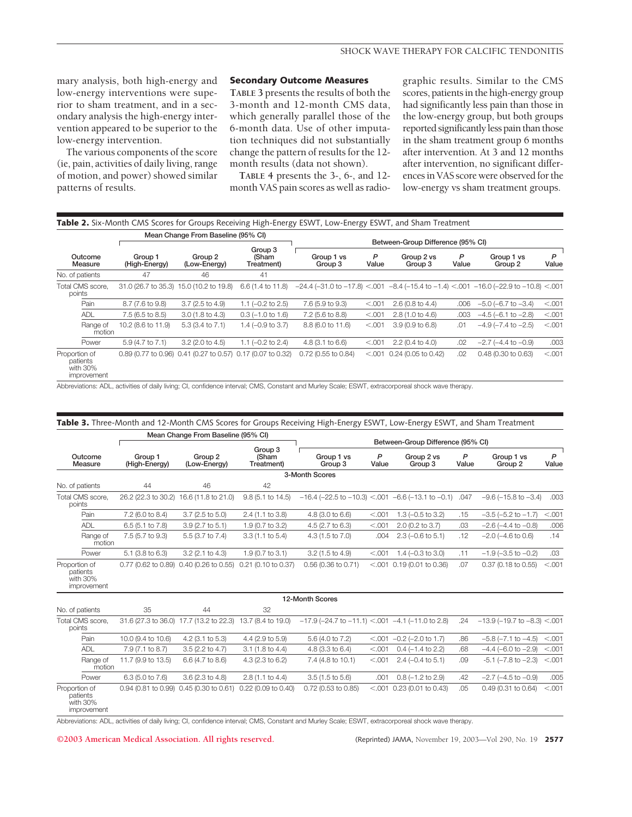mary analysis, both high-energy and low-energy interventions were superior to sham treatment, and in a secondary analysis the high-energy intervention appeared to be superior to the low-energy intervention.

The various components of the score (ie, pain, activities of daily living, range of motion, and power) showed similar patterns of results.

## **Secondary Outcome Measures**

**TABLE 3** presents the results of both the 3-month and 12-month CMS data, which generally parallel those of the 6-month data. Use of other imputation techniques did not substantially change the pattern of results for the 12 month results (data not shown).

**TABLE 4** presents the 3-, 6-, and 12 month VAS pain scores as well as radio-

graphic results. Similar to the CMS scores, patients in the high-energy group had significantly less pain than those in the low-energy group, but both groups reported significantly less pain than those in the sham treatment group 6 months after intervention. At 3 and 12 months after intervention, no significant differences in VAS score were observed for the low-energy vs sham treatment groups.

|                                                      |                          | Mean Change From Baseline (95% CI)                          |                                |                                                                                                              |            |                               |            |                             |            |
|------------------------------------------------------|--------------------------|-------------------------------------------------------------|--------------------------------|--------------------------------------------------------------------------------------------------------------|------------|-------------------------------|------------|-----------------------------|------------|
|                                                      |                          |                                                             | Group 3<br>(Sham<br>Treatment) | Between-Group Difference (95% CI)                                                                            |            |                               |            |                             |            |
| Outcome<br>Measure                                   | Group 1<br>(High-Energy) | Group 2<br>(Low-Energy)                                     |                                | Group 1 vs<br>Group 3                                                                                        | P<br>Value | Group 2 vs<br>Group 3         | P<br>Value | Group 1 vs<br>Group 2       | P<br>Value |
| No. of patients                                      | 47                       | 46                                                          | 41                             |                                                                                                              |            |                               |            |                             |            |
| Total CMS score.<br>points                           |                          | 31.0 (26.7 to 35.3) 15.0 (10.2 to 19.8)                     | 6.6 (1.4 to 11.8)              | $-24.4$ ( $-31.0$ to $-17.8$ ) <.001 $-8.4$ ( $-15.4$ to $-1.4$ ) <.001 $-16.0$ ( $-22.9$ to $-10.8$ ) <.001 |            |                               |            |                             |            |
| Pain                                                 | 8.7 (7.6 to 9.8)         | $3.7(2.5 \text{ to } 4.9)$                                  | 1.1 $(-0.2$ to 2.5)            | 7.6 (5.9 to 9.3)                                                                                             | < 0.001    | 2.6(0.8 to 4.4)               | .006       | $-5.0$ ( $-6.7$ to $-3.4$ ) | < 0.001    |
| <b>ADL</b>                                           | 7.5 (6.5 to 8.5)         | $3.0(1.8 \text{ to } 4.3)$                                  | $0.3(-1.0 \text{ to } 1.6)$    | 7.2 (5.6 to 8.8)                                                                                             | < 0.001    | $2.8(1.0 \text{ to } 4.6)$    | .003       | $-4.5$ (-6.1 to $-2.8$ )    | < 0.001    |
| Range of<br>motion                                   | 10.2 (8.6 to 11.9)       | 5.3 (3.4 to 7.1)                                            | $1.4 (-0.9 to 3.7)$            | 8.8 (6.0 to 11.6)                                                                                            | < 0.001    | $3.9(0.9)$ to $6.8$ )         | .01        | $-4.9$ ( $-7.4$ to $-2.5$ ) | < 0.001    |
| Power                                                | 5.9 (4.7 to 7.1)         | $3.2(2.0 \text{ to } 4.5)$                                  | 1.1 $(-0.2$ to 2.4)            | $4.8(3.1 \text{ to } 6.6)$                                                                                   | < 0.001    | $2.2(0.4 \text{ to } 4.0)$    | .02        | $-2.7$ ( $-4.4$ to $-0.9$ ) | .003       |
| Proportion of<br>patients<br>with 30%<br>improvement |                          | 0.89 (0.77 to 0.96) 0.41 (0.27 to 0.57) 0.17 (0.07 to 0.32) |                                | 0.72 (0.55 to 0.84)                                                                                          |            | $< 0.001$ 0.24 (0.05 to 0.42) | .02        | 0.48 (0.30 to 0.63)         | < 0.001    |

Abbreviations: ADL, activities of daily living; CI, confidence interval; CMS, Constant and Murley Scale; ESWT, extracorporeal shock wave therapy.

|                                                      | Mean Change From Baseline (95% CI) |                                         |                                |                                                                   |            |                               |                       |                                  |            |
|------------------------------------------------------|------------------------------------|-----------------------------------------|--------------------------------|-------------------------------------------------------------------|------------|-------------------------------|-----------------------|----------------------------------|------------|
|                                                      |                                    |                                         |                                | Between-Group Difference (95% CI)                                 |            |                               |                       |                                  |            |
| Outcome<br>Measure                                   | Group 1<br>(High-Energy)           | Group 2<br>(Low-Energy)                 | Group 3<br>(Sham<br>Treatment) | Group 1 vs<br>Group 3                                             | P<br>Value | Group 2 vs<br>Group 3         | $\mathsf{P}$<br>Value | Group 1 vs<br>Group 2            | P<br>Value |
|                                                      |                                    |                                         |                                | 3-Month Scores                                                    |            |                               |                       |                                  |            |
| No. of patients                                      | 44                                 | 46                                      | 42                             |                                                                   |            |                               |                       |                                  |            |
| Total CMS score.<br>points                           | 26.2 (22.3 to 30.2)                | 16.6 (11.8 to 21.0)                     | 9.8 (5.1 to 14.5)              | $-16.4$ ( $-22.5$ to $-10.3$ ) < 001 $-6.6$ ( $-13.1$ to $-0.1$ ) |            |                               | .047                  | $-9.6$ ( $-15.8$ to $-3.4$ )     | .003       |
| Pain                                                 | 7.2 (6.0 to 8.4)                   | $3.7(2.5 \text{ to } 5.0)$              | 2.4 (1.1 to 3.8)               | 4.8 (3.0 to 6.6)                                                  | < 0.001    | $1.3(-0.5 \text{ to } 3.2)$   | .15                   | $-3.5$ ( $-5.2$ to $-1.7$ )      | < 0.001    |
| <b>ADL</b>                                           | 6.5 (5.1 to 7.8)                   | 3.9 (2.7 to 5.1)                        | 1.9 (0.7 to 3.2)               | 4.5 (2.7 to 6.3)                                                  | < 0.001    | 2.0 (0.2 to 3.7)              | .03                   | $-2.6$ ( $-4.4$ to $-0.8$ )      | .006       |
| Range of<br>motion                                   | 7.5 (5.7 to 9.3)                   | 5.5 (3.7 to 7.4)                        | $3.3(1.1 \text{ to } 5.4)$     | 4.3 (1.5 to 7.0)                                                  | .004       | $2.3$ (-0.6 to 5.1)           | .12                   | $-2.0$ ( $-4.6$ to 0.6)          | .14        |
| Power                                                | $5.1$ (3.8 to 6.3)                 | $3.2$ (2.1 to 4.3)                      | $1.9(0.7)$ to $3.1)$           | $3.2(1.5 \text{ to } 4.9)$                                        | < 0.001    | $1.4 (-0.3 to 3.0)$           | .11                   | $-1.9$ ( $-3.5$ to $-0.2$ )      | .03        |
| Proportion of<br>patients<br>with 30%<br>improvement |                                    | 0.77 (0.62 to 0.89) 0.40 (0.26 to 0.55) | 0.21 (0.10 to 0.37)            | 0.56 (0.36 to 0.71)                                               |            | $< 0.001$ 0.19 (0.01 to 0.36) | .07                   | 0.37 (0.18 to 0.55)              | < 0.001    |
|                                                      |                                    |                                         |                                | 12-Month Scores                                                   |            |                               |                       |                                  |            |
| No. of patients                                      | 35                                 | 44                                      | 32                             |                                                                   |            |                               |                       |                                  |            |
| Total CMS score,<br>points                           |                                    | 31.6 (27.3 to 36.0) 17.7 (13.2 to 22.3) | 13.7 (8.4 to 19.0)             | $-17.9$ (-24.7 to $-11.1$ ) < 001 -4.1 (-11.0 to 2.8)             |            |                               | .24                   | $-13.9$ (-19.7 to $-8.3$ ) <.001 |            |
| Pain                                                 | 10.0 (9.4 to 10.6)                 | 4.2 (3.1 to 5.3)                        | 4.4 (2.9 to 5.9)               | 5.6 (4.0 to 7.2)                                                  | < 0.001    | $-0.2$ ( $-2.0$ to 1.7)       | .86                   | $-5.8$ ( $-7.1$ to $-4.5$ )      | < 0.001    |
| <b>ADL</b>                                           | 7.9 (7.1 to 8.7)                   | $3.5(2.2 \text{ to } 4.7)$              | 3.1(1.8 to 4.4)                | 4.8 (3.3 to 6.4)                                                  | < 0.001    | $0.4$ (-1.4 to 2.2)           | .68                   | $-4.4$ (-6.0 to $-2.9$ )         | < 0.001    |
| Range of<br>motion                                   | 11.7 (9.9 to 13.5)                 | 6.6 (4.7 to 8.6)                        | 4.3 (2.3 to 6.2)               | 7.4 (4.8 to 10.1)                                                 | < 0.001    | $2.4 (-0.4 to 5.1)$           | .09                   | $-5.1$ ( $-7.8$ to $-2.3$ )      | < 0.001    |
| Power                                                | 6.3 (5.0 to 7.6)                   | 3.6 (2.3 to 4.8)                        | 2.8 (1.1 to 4.4)               | $3.5(1.5 \text{ to } 5.6)$                                        | .001       | $0.8(-1.2 \text{ to } 2.9)$   | .42                   | $-2.7$ ( $-4.5$ to $-0.9$ )      | .005       |
| Proportion of<br>patients<br>with 30%<br>improvement |                                    | 0.94 (0.81 to 0.99) 0.45 (0.30 to 0.61) | 0.22 (0.09 to 0.40)            | 0.72 (0.53 to 0.85)                                               |            | $< 0.001$ 0.23 (0.01 to 0.43) | .05                   | $0.49$ (0.31 to 0.64)            | < 0.001    |

Abbreviations: ADL, activities of daily living; CI, confidence interval; CMS, Constant and Murley Scale; ESWT, extracorporeal shock wave therapy.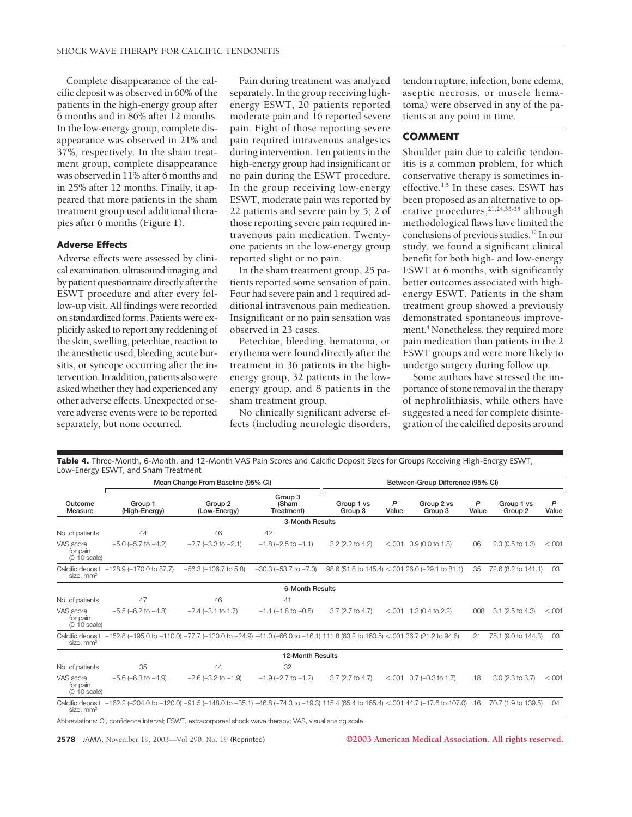Complete disappearance of the calcific deposit was observed in 60% of the patients in the high-energy group after 6 months and in 86% after 12 months. In the low-energy group, complete disappearance was observed in 21% and 37%, respectively. In the sham treatment group, complete disappearance was observed in 11% after 6 months and in 25% after 12 months. Finally, it appeared that more patients in the sham treatment group used additional therapies after 6 months (Figure 1).

## **Adverse Effects**

Adverse effects were assessed by clinical examination, ultrasound imaging, and by patient questionnaire directly after the ESWT procedure and after every follow-up visit. All findings were recorded on standardized forms. Patients were explicitly asked to report any reddening of the skin, swelling, petechiae, reaction to the anesthetic used, bleeding, acute bursitis, or syncope occurring after the intervention. In addition, patients also were asked whether they had experienced any other adverse effects. Unexpected or severe adverse events were to be reported separately, but none occurred.

Pain during treatment was analyzed separately. In the group receiving highenergy ESWT, 20 patients reported moderate pain and 16 reported severe pain. Eight of those reporting severe pain required intravenous analgesics during intervention. Ten patients in the high-energy group had insignificant or no pain during the ESWT procedure. In the group receiving low-energy ESWT, moderate pain was reported by 22 patients and severe pain by 5; 2 of those reporting severe pain required intravenous pain medication. Twentyone patients in the low-energy group reported slight or no pain.

In the sham treatment group, 25 patients reported some sensation of pain. Four had severe pain and 1 required additional intravenous pain medication. Insignificant or no pain sensation was observed in 23 cases.

Petechiae, bleeding, hematoma, or erythema were found directly after the treatment in 36 patients in the highenergy group, 32 patients in the lowenergy group, and 8 patients in the sham treatment group.

No clinically significant adverse effects (including neurologic disorders,

tendon rupture, infection, bone edema, aseptic necrosis, or muscle hematoma) were observed in any of the patients at any point in time.

## **COMMENT**

Shoulder pain due to calcific tendonitis is a common problem, for which conservative therapy is sometimes ineffective.<sup>1,5</sup> In these cases, ESWT has been proposed as an alternative to operative procedures,  $21,24,33-35$  although methodological flaws have limited the conclusions of previous studies.12 In our study, we found a significant clinical benefit for both high- and low-energy ESWT at 6 months, with significantly better outcomes associated with highenergy ESWT. Patients in the sham treatment group showed a previously demonstrated spontaneous improvement.<sup>4</sup> Nonetheless, they required more pain medication than patients in the 2 ESWT groups and were more likely to undergo surgery during follow up.

Some authors have stressed the importance of stone removal in the therapy of nephrolithiasis, while others have suggested a need for complete disintegration of the calcified deposits around

|                                                 | Mean Change From Baseline (95% CI)                                                                                               | Between-Group Difference (95% CI) |                                |                       |            |                                                 |            |                       |            |
|-------------------------------------------------|----------------------------------------------------------------------------------------------------------------------------------|-----------------------------------|--------------------------------|-----------------------|------------|-------------------------------------------------|------------|-----------------------|------------|
| Outcome<br>Measure                              | Group 1<br>(High-Energy)                                                                                                         | Group 2<br>(Low-Energy)           | Group 3<br>(Sham<br>Treatment) | Group 1 ys<br>Group 3 | P<br>Value | Group 2 vs<br>Group 3                           | P<br>Value | Group 1 vs<br>Group 2 | P<br>Value |
|                                                 |                                                                                                                                  |                                   | 3-Month Results                |                       |            |                                                 |            |                       |            |
| No. of patients                                 | 44                                                                                                                               | 46                                | 42                             |                       |            |                                                 |            |                       |            |
| VAS score<br>for pain<br>$(0-10 \text{ scale})$ | $-5.0$ ( $-5.7$ to $-4.2$ )                                                                                                      | $-2.7$ ( $-3.3$ to $-2.1$ )       | $-1.8$ ( $-2.5$ to $-1.1$ )    | 3.2 (2.2 to 4.2)      | < 0.001    | 0.9(0.0 to 1.8)                                 | .06        | 2.3 (0.5 to 1.3)      | < .001     |
| Calcific deposit<br>size, mm <sup>2</sup>       | $-128.9$ ( $-170.0$ to 87.7)                                                                                                     | $-56.3$ ( $-106.7$ to 5.8)        | $-30.3$ ( $-53.7$ to $-7.0$ )  |                       |            | 98.6 (51.8 to 145.4) < 001 26.0 (-29.1 to 81.1) | .35        | 72.6 (8.2 to 141.1)   | .03        |
|                                                 |                                                                                                                                  |                                   | 6-Month Results                |                       |            |                                                 |            |                       |            |
| No. of patients                                 | 47                                                                                                                               | 46                                | 41                             |                       |            |                                                 |            |                       |            |
| VAS score<br>for pain<br>$(0-10 \text{ scale})$ | $-5.5$ ( $-6.2$ to $-4.8$ )                                                                                                      | $-2.4$ ( $-3.1$ to 1.7)           | $-1.1$ ( $-1.8$ to $-0.5$ )    | 3.7 (2.7 to 4.7)      | < 0.001    | 1.3 (0.4 to 2.2)                                | .008       | $3.1$ (2.5 to 4.3)    | < .001     |
| Calcific deposit<br>size, mm <sup>2</sup>       | $-152.8$ (-195.0 to -110.0) -77.7 (-130.0 to -24.9) -41.0 (-66.0 to -16.1) 111.8 (63.2 to 160.5) <.001 36.7 (21.2 to 94.6)       |                                   |                                |                       |            |                                                 | .21        | 75.1 (9.0 to 144.3)   | .03        |
|                                                 |                                                                                                                                  |                                   | 12-Month Results               |                       |            |                                                 |            |                       |            |
| No. of patients                                 | 35                                                                                                                               | 44                                | 32                             |                       |            |                                                 |            |                       |            |
| VAS score<br>for pain<br>$(0-10 \text{ scale})$ | $-5.6$ ( $-6.3$ to $-4.9$ )                                                                                                      | $-2.6$ ( $-3.2$ to $-1.9$ )       | $-1.9$ ( $-2.7$ to $-1.2$ )    | 3.7 (2.7 to 4.7)      | < 0.001    | $0.7 (-0.3 to 1.7)$                             | .18        | 3.0 (2.3 to 3.7)      | < .001     |
| Calcific deposit<br>size, mm <sup>2</sup>       | $-162.2$ (-204.0 to -120.0) -91.5 (-148.0 to -35.1) -46.8 (-74.3 to -19.3) 115.4 (65.4 to 165.4) <.001 44.7 (-17.6 to 107.0) .16 |                                   |                                |                       |            |                                                 |            | 70.7 (1.9 to 139.5)   | .04        |

**Table 4.** Three-Month, 6-Month, and 12-Month VAS Pain Scores and Calcific Deposit Sizes for Groups Receiving High-Energy ESWT, Low-Energy ESWT, and Sham Treatment

Abbreviations: CI, confidence interval; ESWT, extracorporeal shock wave therapy; VAS, visual analog scale.

**2578** JAMA, November 19, 2003—Vol 290, No. 19 (Reprinted) **©2003 American Medical Association. All rights reserved.**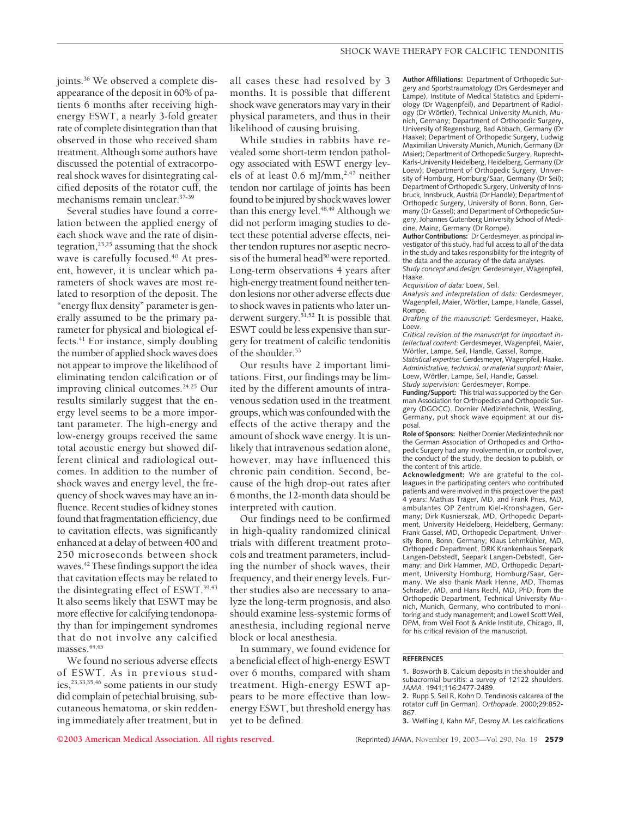joints.<sup>36</sup> We observed a complete disappearance of the deposit in 60% of patients 6 months after receiving highenergy ESWT, a nearly 3-fold greater rate of complete disintegration than that observed in those who received sham treatment. Although some authors have discussed the potential of extracorporeal shock waves for disintegrating calcified deposits of the rotator cuff, the mechanisms remain unclear.37-39

Several studies have found a correlation between the applied energy of each shock wave and the rate of disintegration, $23,25$  assuming that the shock wave is carefully focused.<sup>40</sup> At present, however, it is unclear which parameters of shock waves are most related to resorption of the deposit. The "energy flux density" parameter is generally assumed to be the primary parameter for physical and biological effects. $41$  For instance, simply doubling the number of applied shock waves does not appear to improve the likelihood of eliminating tendon calcification or of improving clinical outcomes.24,25 Our results similarly suggest that the energy level seems to be a more important parameter. The high-energy and low-energy groups received the same total acoustic energy but showed different clinical and radiological outcomes. In addition to the number of shock waves and energy level, the frequency of shock waves may have an influence. Recent studies of kidney stones found that fragmentation efficiency, due to cavitation effects, was significantly enhanced at a delay of between 400 and 250 microseconds between shock waves.<sup>42</sup> These findings support the idea that cavitation effects may be related to the disintegrating effect of ESWT.<sup>39,43</sup> It also seems likely that ESWT may be more effective for calcifying tendonopathy than for impingement syndromes that do not involve any calcified masses.<sup>44,45</sup>

We found no serious adverse effects of ESWT. As in previous studies,<sup>23,33,35,46</sup> some patients in our study did complain of petechial bruising, subcutaneous hematoma, or skin reddening immediately after treatment, but in

all cases these had resolved by 3 months. It is possible that different shock wave generators may vary in their physical parameters, and thus in their likelihood of causing bruising.

While studies in rabbits have revealed some short-term tendon pathology associated with ESWT energy levels of at least 0.6 mJ/mm,<sup>2,47</sup> neither tendon nor cartilage of joints has been found to be injured by shock waves lower than this energy level.<sup>48,49</sup> Although we did not perform imaging studies to detect these potential adverse effects, neither tendon ruptures nor aseptic necrosis of the humeral head<sup>50</sup> were reported. Long-term observations 4 years after high-energy treatment found neither tendon lesions nor other adverse effects due to shock waves in patients who later underwent surgery. $51,52$  It is possible that ESWT could be less expensive than surgery for treatment of calcific tendonitis of the shoulder.<sup>53</sup>

Our results have 2 important limitations. First, our findings may be limited by the different amounts of intravenous sedation used in the treatment groups, which was confounded with the effects of the active therapy and the amount of shock wave energy. It is unlikely that intravenous sedation alone, however, may have influenced this chronic pain condition. Second, because of the high drop-out rates after 6 months, the 12-month data should be interpreted with caution.

Our findings need to be confirmed in high-quality randomized clinical trials with different treatment protocols and treatment parameters, including the number of shock waves, their frequency, and their energy levels. Further studies also are necessary to analyze the long-term prognosis, and also should examine less-systemic forms of anesthesia, including regional nerve block or local anesthesia.

In summary, we found evidence for a beneficial effect of high-energy ESWT over 6 months, compared with sham treatment. High-energy ESWT appears to be more effective than lowenergy ESWT, but threshold energy has yet to be defined.

**Author Affiliations:** Department of Orthopedic Surgery and Sportstraumatology (Drs Gerdesmeyer and Lampe), Institute of Medical Statistics and Epidemiology (Dr Wagenpfeil), and Department of Radiology (Dr Wörtler), Technical University Munich, Munich, Germany; Department of Orthopedic Surgery, University of Regensburg, Bad Abbach, Germany (Dr Haake); Department of Orthopedic Surgery, Ludwig Maximilian University Munich, Munich, Germany (Dr Maier); Department of Orthopedic Surgery, Ruprecht-Karls-University Heidelberg, Heidelberg, Germany (Dr Loew); Department of Orthopedic Surgery, University of Homburg, Homburg/Saar, Germany (Dr Seil); Department of Orthopedic Surgery, University of Innsbruck, Innsbruck, Austria (Dr Handle); Department of Orthopedic Surgery, University of Bonn, Bonn, Germany (Dr Gassel); and Department of Orthopedic Surgery, Johannes Gutenberg University School of Medicine, Mainz, Germany (Dr Rompe).

**Author Contributions:** Dr Gerdesmeyer, as principal investigator of this study, had full access to all of the data in the study and takes responsibility for the integrity of the data and the accuracy of the data analyses.

*Study concept and design:* Gerdesmeyer, Wagenpfeil, Haake.

*Acquisition of data:* Loew, Seil.

*Analysis and interpretation of data:* Gerdesmeyer, Wagenpfeil, Maier, Wörtler, Lampe, Handle, Gassel, Rompe.

*Drafting of the manuscript:* Gerdesmeyer, Haake, Loew.

*Critical revision of the manuscript for important intellectual content:* Gerdesmeyer, Wagenpfeil, Maier, Wörtler, Lampe, Seil, Handle, Gassel, Rompe.

*Statistical expertise:* Gerdesmeyer, Wagenpfeil, Haake. *Administrative, technical, or material support:* Maier, Loew, Wörtler, Lampe, Seil, Handle, Gassel. *Study supervision:* Gerdesmeyer, Rompe.

**Funding/Support:** This trial was supported by the German Association for Orthopedics and Orthopedic Surgery (DGOCC). Dornier Medizintechnik, Wessling, Germany, put shock wave equipment at our disposal.

**Role of Sponsors:** Neither Dornier Medizintechnik nor the German Association of Orthopedics and Orthopedic Surgery had any involvement in, or control over, the conduct of the study, the decision to publish, or the content of this article.

**Acknowledgment:** We are grateful to the colleagues in the participating centers who contributed patients and were involved in this project over the past 4 years: Mathias Träger, MD, and Frank Pries, MD, ambulantes OP Zentrum Kiel-Kronshagen, Germany; Dirk Kusnierszak, MD, Orthopedic Department, University Heidelberg, Heidelberg, Germany; Frank Gassel, MD, Orthopedic Department, University Bonn, Bonn, Germany; Klaus Lehmkühler, MD, Orthopedic Department, DRK Krankenhaus Seepark Langen-Debstedt, Seepark Langen-Debstedt, Germany; and Dirk Hammer, MD, Orthopedic Department, University Homburg, Homburg/Saar, Germany. We also thank Mark Henne, MD, Thomas Schrader, MD, and Hans Rechl, MD, PhD, from the Orthopedic Department, Technical University Munich, Munich, Germany, who contributed to monitoring and study management; and Lowell Scott Weil, DPM, from Weil Foot & Ankle Institute, Chicago, Ill, for his critical revision of the manuscript.

#### **REFERENCES**

**1.** Bosworth B. Calcium deposits in the shoulder and subacromial bursitis: a survey of 12122 shoulders. *JAMA*. 1941;116:2477-2489.

**3.** Welfling J, Kahn MF, Desroy M. Les calcifications

**<sup>2.</sup>** Rupp S, Seil R, Kohn D. Tendinosis calcarea of the rotator cuff [in German]. *Orthopade*. 2000;29:852- 867.